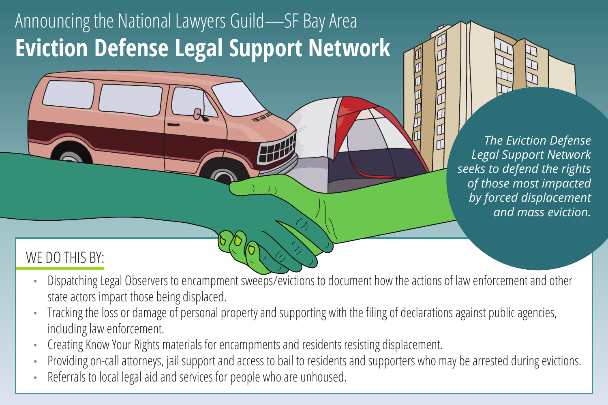# Announcing the National Lawyers Guild—SF Bay Area **Eviction Defense Legal Support Network**

*The Eviction Defense Legal Support Network seeks to defend the rights of those most impacted by forced displacement and mass eviction.*

#### WE DO THIS BY:

- Dispatching Legal Observers to encampment sweeps/evictions to document how the actions of law enforcement and other state actors impact those being displaced.
- Tracking the loss or damage of personal property and supporting with the filing of declarations against public agencies, including law enforcement.
- Creating Know Your Rights materials for encampments and residents resisting displacement.
- Providing on-call attorneys, jail support and access to bail to residents and supporters who may be arrested during evictions.
- Referrals to local legal aid and services for people who are unhoused.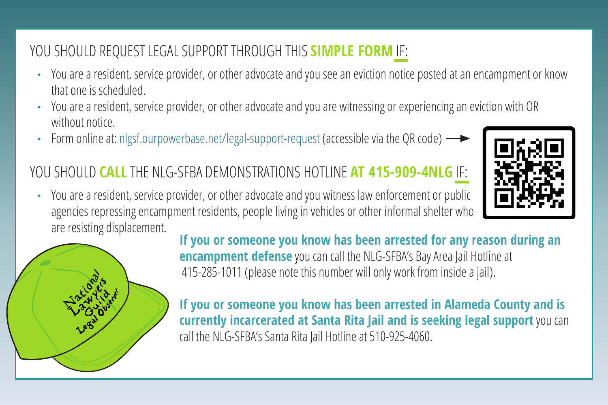### YOU SHOULD REQUEST LEGAL SUPPORT THROUGH THIS **SIMPLE FORM** IF:

- You are a resident, service provider, or other advocate and you see an eviction notice posted at an encampment or know that one is scheduled.
- You are a resident, service provider, or other advocate and you are witnessing or experiencing an eviction with OR without notice.
- Form online at: nlgsf.ourpowerbase.net/legal-support-request (accessible via the QR code)

#### YOU SHOULD **CALL** THE NLG-SFBA DEMONSTRATIONS HOTLINE **AT 415-909-4NLG** IF:



• You are a resident, service provider, or other advocate and you witness law enforcement or public agencies repressing encampment residents, people living in vehicles or other informal shelter who are resisting displacement.



**If you or someone you know has been arrested for any reason during an encampment defense** you can call the NLG-SFBA's Bay Area Jail Hotline at 415-285-1011 (please note this number will only work from inside a jail).

**If you or someone you know has been arrested in Alameda County and is currently incarcerated at Santa Rita Jail and is seeking legal support** you can call the NLG-SFBA's Santa Rita Jail Hotline at 510-925-4060.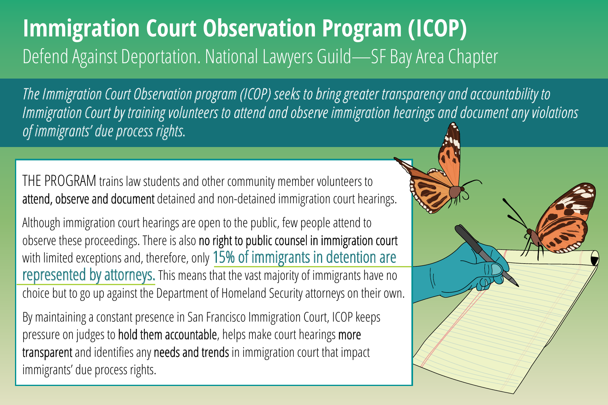# **Immigration Court Observation Program (ICOP)** Defend Against Deportation. National Lawyers Guild—SF Bay Area Chapter

*The Immigration Court Observation program (ICOP) seeks to bring greater transparency and accountability to Immigration Court by training volunteers to attend and observe immigration hearings and document any violations of immigrants' due process rights.*

THE PROGRAM trains law students and other community member volunteers to attend, observe and document detained and non-detained immigration court hearings.

Although immigration court hearings are open to the public, few people attend to observe these proceedings. There is also no right to public counsel in immigration court with limited exceptions and, therefore, only 15% of immigrants in detention are represented by attorneys. This means that the vast majority of immigrants have no choice but to go up against the Department of Homeland Security attorneys on their own.

By maintaining a constant presence in San Francisco Immigration Court, ICOP keeps pressure on judges to hold them accountable, helps make court hearings more transparent and identifies any needs and trends in immigration court that impact immigrants' due process rights.